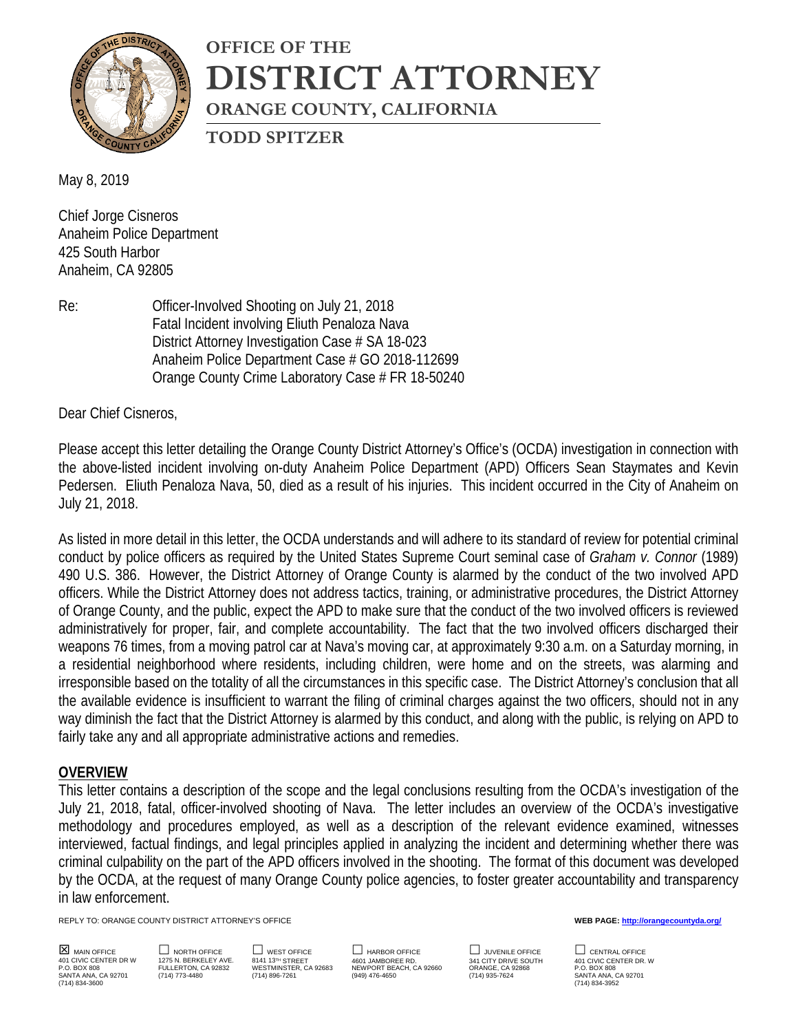

# **OFFICE OF THE DISTRICT ATTORNEY ORANGE COUNTY, CALIFORNIA**

**TODD SPITZER**

May 8, 2019

Chief Jorge Cisneros Anaheim Police Department 425 South Harbor Anaheim, CA 92805

Re: Officer-Involved Shooting on July 21, 2018 Fatal Incident involving Eliuth Penaloza Nava District Attorney Investigation Case # SA 18-023 Anaheim Police Department Case # GO 2018-112699 Orange County Crime Laboratory Case # FR 18-50240

Dear Chief Cisneros,

Please accept this letter detailing the Orange County District Attorney's Office's (OCDA) investigation in connection with the above-listed incident involving on-duty Anaheim Police Department (APD) Officers Sean Staymates and Kevin Pedersen. Eliuth Penaloza Nava, 50, died as a result of his injuries. This incident occurred in the City of Anaheim on July 21, 2018.

As listed in more detail in this letter, the OCDA understands and will adhere to its standard of review for potential criminal conduct by police officers as required by the United States Supreme Court seminal case of *Graham v. Connor* (1989) 490 U.S. 386. However, the District Attorney of Orange County is alarmed by the conduct of the two involved APD officers. While the District Attorney does not address tactics, training, or administrative procedures, the District Attorney of Orange County, and the public, expect the APD to make sure that the conduct of the two involved officers is reviewed administratively for proper, fair, and complete accountability. The fact that the two involved officers discharged their weapons 76 times, from a moving patrol car at Nava's moving car, at approximately 9:30 a.m. on a Saturday morning, in a residential neighborhood where residents, including children, were home and on the streets, was alarming and irresponsible based on the totality of all the circumstances in this specific case. The District Attorney's conclusion that all the available evidence is insufficient to warrant the filing of criminal charges against the two officers, should not in any way diminish the fact that the District Attorney is alarmed by this conduct, and along with the public, is relying on APD to fairly take any and all appropriate administrative actions and remedies.

#### **OVERVIEW**

This letter contains a description of the scope and the legal conclusions resulting from the OCDA's investigation of the July 21, 2018, fatal, officer-involved shooting of Nava. The letter includes an overview of the OCDA's investigative methodology and procedures employed, as well as a description of the relevant evidence examined, witnesses interviewed, factual findings, and legal principles applied in analyzing the incident and determining whether there was criminal culpability on the part of the APD officers involved in the shooting. The format of this document was developed by the OCDA, at the request of many Orange County police agencies, to foster greater accountability and transparency in law enforcement.

REPLY TO: ORANGE COUNTY DISTRICT ATTORNEY'S OFFICE **WEB PAGE[: http://orangecountyda.org/](http://orangecountyda.org/)**

(714) 834-3600 (714) 834-3952

SANTA ANA, CA 92701 (714) 773-4480 (714) 896-7261 (949) 476-4650 (714) 935-7624 SANTA ANA, CA 92701

**MAIN OFFICE DIGRTH OFFICE DIGRET OF SECULIE DE LARBOR OFFICE DE LA CONTRAL OFFICE DE LARBOR OFFICE DE LARBOR OFFICE DE LARBOR OFFICE DE LARBOR OFFICE DE LARBOR OF TO DE LARBOR OF TO LARBOR OF TO LARBOR OF TO LARBOR OF TO** 401 CIVIC CENTER DR WARELLEY AVE. 8141 13™ STREET DR MOORE RD. MARE SOUTH DRIVE SOUTH A 401 CIVIC CENTER DR. W<br>P.O. BOX 808 POLLERTON, CA 92832 WESTMINSTER, CA 92683 NEWPORT BEACH, CA 92660 ORANGE, CA 92868 P.O. BOX 808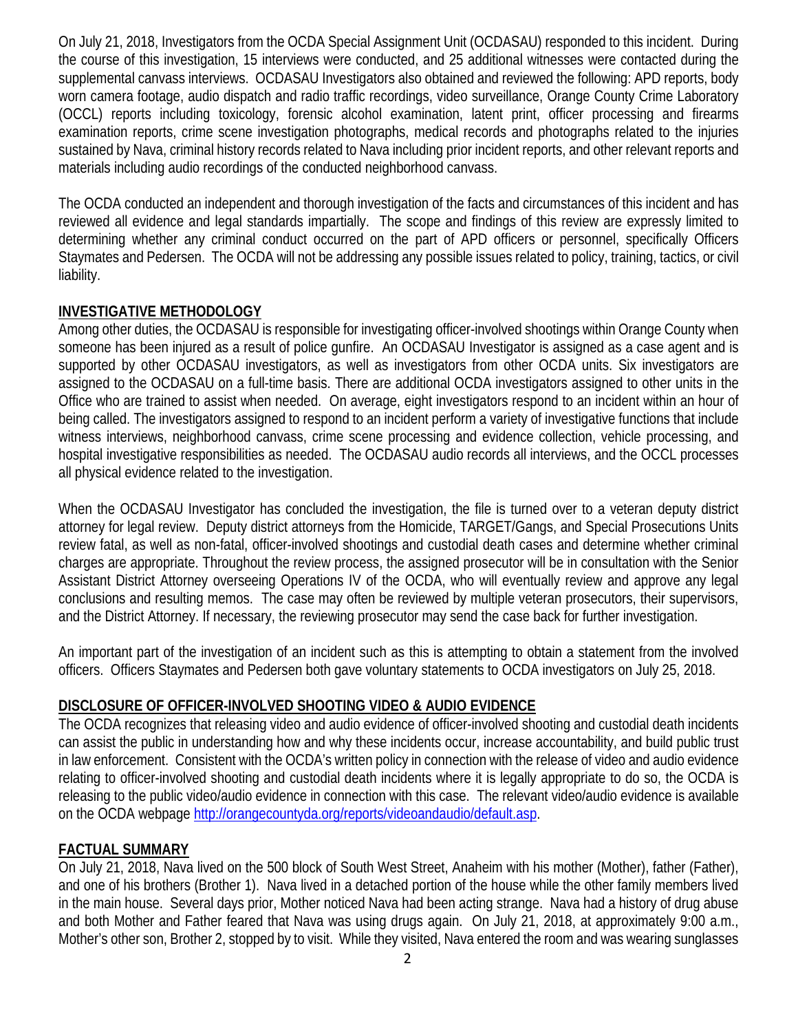On July 21, 2018, Investigators from the OCDA Special Assignment Unit (OCDASAU) responded to this incident. During the course of this investigation, 15 interviews were conducted, and 25 additional witnesses were contacted during the supplemental canvass interviews. OCDASAU Investigators also obtained and reviewed the following: APD reports, body worn camera footage, audio dispatch and radio traffic recordings, video surveillance, Orange County Crime Laboratory (OCCL) reports including toxicology, forensic alcohol examination, latent print, officer processing and firearms examination reports, crime scene investigation photographs, medical records and photographs related to the injuries sustained by Nava, criminal history records related to Nava including prior incident reports, and other relevant reports and materials including audio recordings of the conducted neighborhood canvass.

The OCDA conducted an independent and thorough investigation of the facts and circumstances of this incident and has reviewed all evidence and legal standards impartially. The scope and findings of this review are expressly limited to determining whether any criminal conduct occurred on the part of APD officers or personnel, specifically Officers Staymates and Pedersen. The OCDA will not be addressing any possible issues related to policy, training, tactics, or civil liability.

#### **INVESTIGATIVE METHODOLOGY**

Among other duties, the OCDASAU is responsible for investigating officer-involved shootings within Orange County when someone has been injured as a result of police gunfire. An OCDASAU Investigator is assigned as a case agent and is supported by other OCDASAU investigators, as well as investigators from other OCDA units. Six investigators are assigned to the OCDASAU on a full-time basis. There are additional OCDA investigators assigned to other units in the Office who are trained to assist when needed. On average, eight investigators respond to an incident within an hour of being called. The investigators assigned to respond to an incident perform a variety of investigative functions that include witness interviews, neighborhood canvass, crime scene processing and evidence collection, vehicle processing, and hospital investigative responsibilities as needed. The OCDASAU audio records all interviews, and the OCCL processes all physical evidence related to the investigation.

When the OCDASAU Investigator has concluded the investigation, the file is turned over to a veteran deputy district attorney for legal review. Deputy district attorneys from the Homicide, TARGET/Gangs, and Special Prosecutions Units review fatal, as well as non-fatal, officer-involved shootings and custodial death cases and determine whether criminal charges are appropriate. Throughout the review process, the assigned prosecutor will be in consultation with the Senior Assistant District Attorney overseeing Operations IV of the OCDA, who will eventually review and approve any legal conclusions and resulting memos. The case may often be reviewed by multiple veteran prosecutors, their supervisors, and the District Attorney. If necessary, the reviewing prosecutor may send the case back for further investigation.

An important part of the investigation of an incident such as this is attempting to obtain a statement from the involved officers. Officers Staymates and Pedersen both gave voluntary statements to OCDA investigators on July 25, 2018.

# **DISCLOSURE OF OFFICER-INVOLVED SHOOTING VIDEO & AUDIO EVIDENCE**

The OCDA recognizes that releasing video and audio evidence of officer-involved shooting and custodial death incidents can assist the public in understanding how and why these incidents occur, increase accountability, and build public trust in law enforcement. Consistent with the OCDA's written policy in connection with the release of video and audio evidence relating to officer-involved shooting and custodial death incidents where it is legally appropriate to do so, the OCDA is releasing to the public video/audio evidence in connection with this case. The relevant video/audio evidence is available on the OCDA webpage [http://orangecountyda.org/reports/videoandaudio/default.asp.](http://orangecountyda.org/reports/videoandaudio/default.asp)

#### **FACTUAL SUMMARY**

On July 21, 2018, Nava lived on the 500 block of South West Street, Anaheim with his mother (Mother), father (Father), and one of his brothers (Brother 1). Nava lived in a detached portion of the house while the other family members lived in the main house. Several days prior, Mother noticed Nava had been acting strange. Nava had a history of drug abuse and both Mother and Father feared that Nava was using drugs again. On July 21, 2018, at approximately 9:00 a.m., Mother's other son, Brother 2, stopped by to visit. While they visited, Nava entered the room and was wearing sunglasses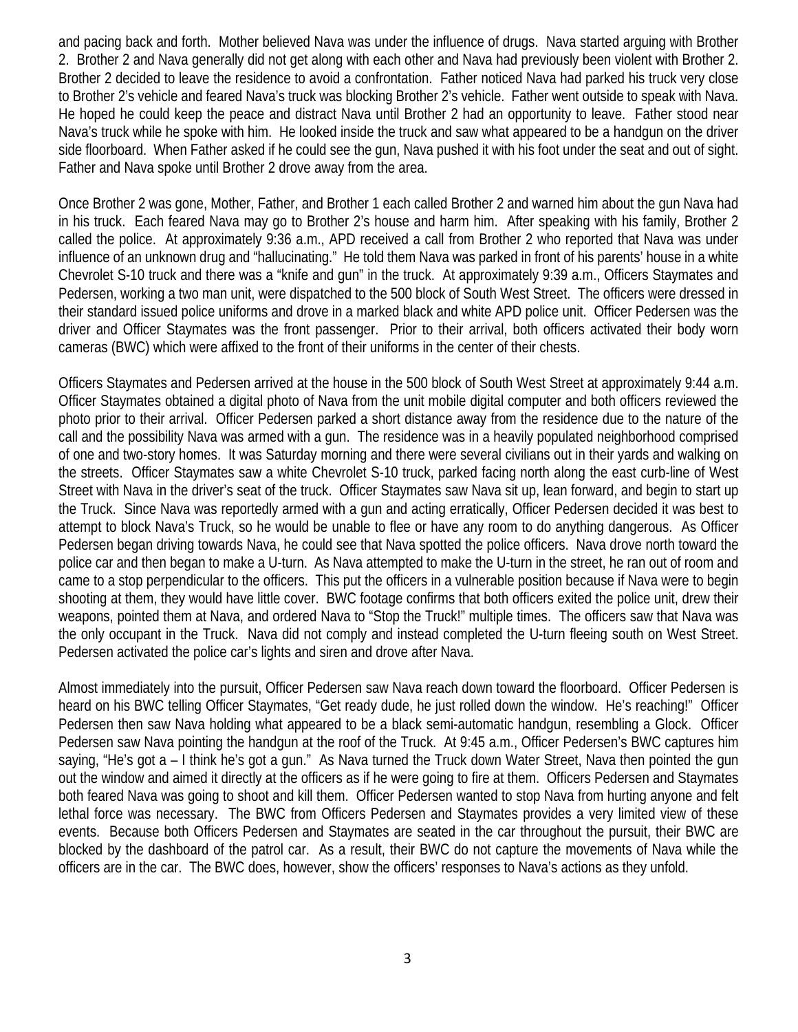and pacing back and forth. Mother believed Nava was under the influence of drugs. Nava started arguing with Brother 2. Brother 2 and Nava generally did not get along with each other and Nava had previously been violent with Brother 2. Brother 2 decided to leave the residence to avoid a confrontation. Father noticed Nava had parked his truck very close to Brother 2's vehicle and feared Nava's truck was blocking Brother 2's vehicle. Father went outside to speak with Nava. He hoped he could keep the peace and distract Nava until Brother 2 had an opportunity to leave. Father stood near Nava's truck while he spoke with him. He looked inside the truck and saw what appeared to be a handgun on the driver side floorboard. When Father asked if he could see the gun, Nava pushed it with his foot under the seat and out of sight. Father and Nava spoke until Brother 2 drove away from the area.

Once Brother 2 was gone, Mother, Father, and Brother 1 each called Brother 2 and warned him about the gun Nava had in his truck. Each feared Nava may go to Brother 2's house and harm him. After speaking with his family, Brother 2 called the police. At approximately 9:36 a.m., APD received a call from Brother 2 who reported that Nava was under influence of an unknown drug and "hallucinating." He told them Nava was parked in front of his parents' house in a white Chevrolet S-10 truck and there was a "knife and gun" in the truck. At approximately 9:39 a.m., Officers Staymates and Pedersen, working a two man unit, were dispatched to the 500 block of South West Street. The officers were dressed in their standard issued police uniforms and drove in a marked black and white APD police unit. Officer Pedersen was the driver and Officer Staymates was the front passenger. Prior to their arrival, both officers activated their body worn cameras (BWC) which were affixed to the front of their uniforms in the center of their chests.

Officers Staymates and Pedersen arrived at the house in the 500 block of South West Street at approximately 9:44 a.m. Officer Staymates obtained a digital photo of Nava from the unit mobile digital computer and both officers reviewed the photo prior to their arrival. Officer Pedersen parked a short distance away from the residence due to the nature of the call and the possibility Nava was armed with a gun. The residence was in a heavily populated neighborhood comprised of one and two-story homes. It was Saturday morning and there were several civilians out in their yards and walking on the streets. Officer Staymates saw a white Chevrolet S-10 truck, parked facing north along the east curb-line of West Street with Nava in the driver's seat of the truck. Officer Staymates saw Nava sit up, lean forward, and begin to start up the Truck. Since Nava was reportedly armed with a gun and acting erratically, Officer Pedersen decided it was best to attempt to block Nava's Truck, so he would be unable to flee or have any room to do anything dangerous. As Officer Pedersen began driving towards Nava, he could see that Nava spotted the police officers. Nava drove north toward the police car and then began to make a U-turn. As Nava attempted to make the U-turn in the street, he ran out of room and came to a stop perpendicular to the officers. This put the officers in a vulnerable position because if Nava were to begin shooting at them, they would have little cover. BWC footage confirms that both officers exited the police unit, drew their weapons, pointed them at Nava, and ordered Nava to "Stop the Truck!" multiple times. The officers saw that Nava was the only occupant in the Truck. Nava did not comply and instead completed the U-turn fleeing south on West Street. Pedersen activated the police car's lights and siren and drove after Nava.

Almost immediately into the pursuit, Officer Pedersen saw Nava reach down toward the floorboard. Officer Pedersen is heard on his BWC telling Officer Staymates, "Get ready dude, he just rolled down the window. He's reaching!" Officer Pedersen then saw Nava holding what appeared to be a black semi-automatic handgun, resembling a Glock. Officer Pedersen saw Nava pointing the handgun at the roof of the Truck. At 9:45 a.m., Officer Pedersen's BWC captures him saying, "He's got a – I think he's got a gun." As Nava turned the Truck down Water Street, Nava then pointed the gun out the window and aimed it directly at the officers as if he were going to fire at them. Officers Pedersen and Staymates both feared Nava was going to shoot and kill them. Officer Pedersen wanted to stop Nava from hurting anyone and felt lethal force was necessary. The BWC from Officers Pedersen and Staymates provides a very limited view of these events. Because both Officers Pedersen and Staymates are seated in the car throughout the pursuit, their BWC are blocked by the dashboard of the patrol car. As a result, their BWC do not capture the movements of Nava while the officers are in the car. The BWC does, however, show the officers' responses to Nava's actions as they unfold.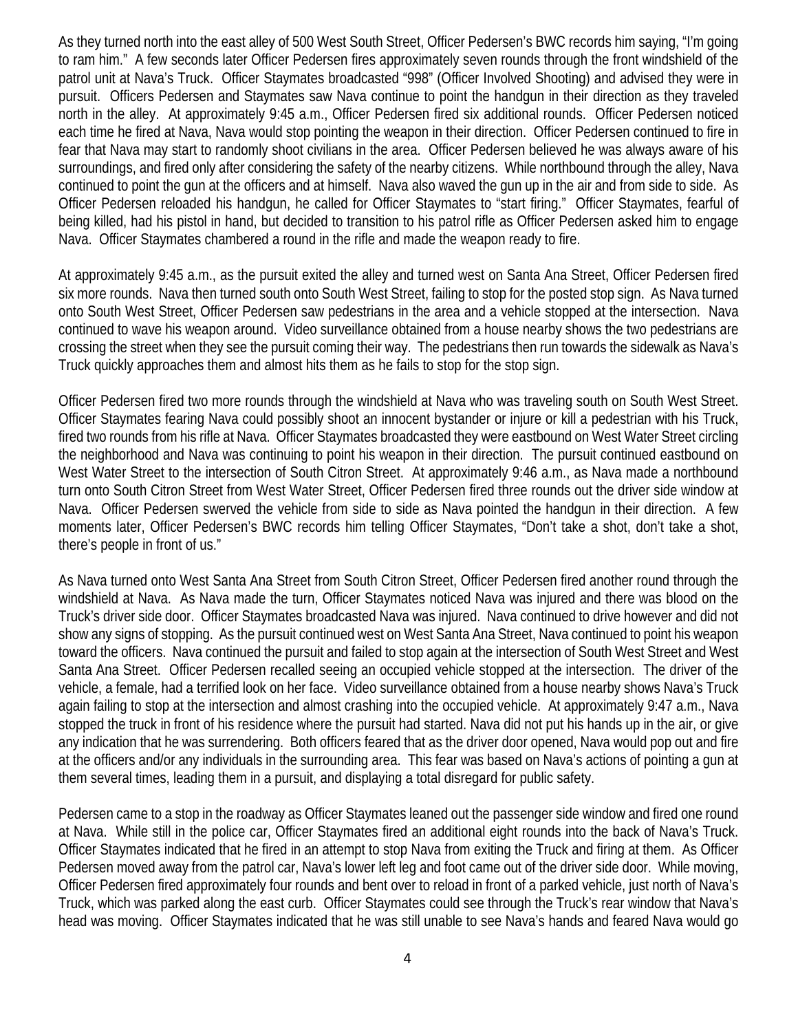As they turned north into the east alley of 500 West South Street, Officer Pedersen's BWC records him saying, "I'm going to ram him." A few seconds later Officer Pedersen fires approximately seven rounds through the front windshield of the patrol unit at Nava's Truck. Officer Staymates broadcasted "998" (Officer Involved Shooting) and advised they were in pursuit. Officers Pedersen and Staymates saw Nava continue to point the handgun in their direction as they traveled north in the alley. At approximately 9:45 a.m., Officer Pedersen fired six additional rounds. Officer Pedersen noticed each time he fired at Nava, Nava would stop pointing the weapon in their direction. Officer Pedersen continued to fire in fear that Nava may start to randomly shoot civilians in the area. Officer Pedersen believed he was always aware of his surroundings, and fired only after considering the safety of the nearby citizens. While northbound through the alley, Nava continued to point the gun at the officers and at himself. Nava also waved the gun up in the air and from side to side. As Officer Pedersen reloaded his handgun, he called for Officer Staymates to "start firing." Officer Staymates, fearful of being killed, had his pistol in hand, but decided to transition to his patrol rifle as Officer Pedersen asked him to engage Nava. Officer Staymates chambered a round in the rifle and made the weapon ready to fire.

At approximately 9:45 a.m., as the pursuit exited the alley and turned west on Santa Ana Street, Officer Pedersen fired six more rounds. Nava then turned south onto South West Street, failing to stop for the posted stop sign. As Nava turned onto South West Street, Officer Pedersen saw pedestrians in the area and a vehicle stopped at the intersection. Nava continued to wave his weapon around. Video surveillance obtained from a house nearby shows the two pedestrians are crossing the street when they see the pursuit coming their way. The pedestrians then run towards the sidewalk as Nava's Truck quickly approaches them and almost hits them as he fails to stop for the stop sign.

Officer Pedersen fired two more rounds through the windshield at Nava who was traveling south on South West Street. Officer Staymates fearing Nava could possibly shoot an innocent bystander or injure or kill a pedestrian with his Truck, fired two rounds from his rifle at Nava. Officer Staymates broadcasted they were eastbound on West Water Street circling the neighborhood and Nava was continuing to point his weapon in their direction. The pursuit continued eastbound on West Water Street to the intersection of South Citron Street. At approximately 9:46 a.m., as Nava made a northbound turn onto South Citron Street from West Water Street, Officer Pedersen fired three rounds out the driver side window at Nava. Officer Pedersen swerved the vehicle from side to side as Nava pointed the handgun in their direction. A few moments later, Officer Pedersen's BWC records him telling Officer Staymates, "Don't take a shot, don't take a shot, there's people in front of us."

As Nava turned onto West Santa Ana Street from South Citron Street, Officer Pedersen fired another round through the windshield at Nava. As Nava made the turn, Officer Staymates noticed Nava was injured and there was blood on the Truck's driver side door. Officer Staymates broadcasted Nava was injured. Nava continued to drive however and did not show any signs of stopping. As the pursuit continued west on West Santa Ana Street, Nava continued to point his weapon toward the officers. Nava continued the pursuit and failed to stop again at the intersection of South West Street and West Santa Ana Street. Officer Pedersen recalled seeing an occupied vehicle stopped at the intersection. The driver of the vehicle, a female, had a terrified look on her face. Video surveillance obtained from a house nearby shows Nava's Truck again failing to stop at the intersection and almost crashing into the occupied vehicle. At approximately 9:47 a.m., Nava stopped the truck in front of his residence where the pursuit had started. Nava did not put his hands up in the air, or give any indication that he was surrendering. Both officers feared that as the driver door opened, Nava would pop out and fire at the officers and/or any individuals in the surrounding area. This fear was based on Nava's actions of pointing a gun at them several times, leading them in a pursuit, and displaying a total disregard for public safety.

Pedersen came to a stop in the roadway as Officer Staymates leaned out the passenger side window and fired one round at Nava. While still in the police car, Officer Staymates fired an additional eight rounds into the back of Nava's Truck. Officer Staymates indicated that he fired in an attempt to stop Nava from exiting the Truck and firing at them. As Officer Pedersen moved away from the patrol car, Nava's lower left leg and foot came out of the driver side door. While moving, Officer Pedersen fired approximately four rounds and bent over to reload in front of a parked vehicle, just north of Nava's Truck, which was parked along the east curb. Officer Staymates could see through the Truck's rear window that Nava's head was moving. Officer Staymates indicated that he was still unable to see Nava's hands and feared Nava would go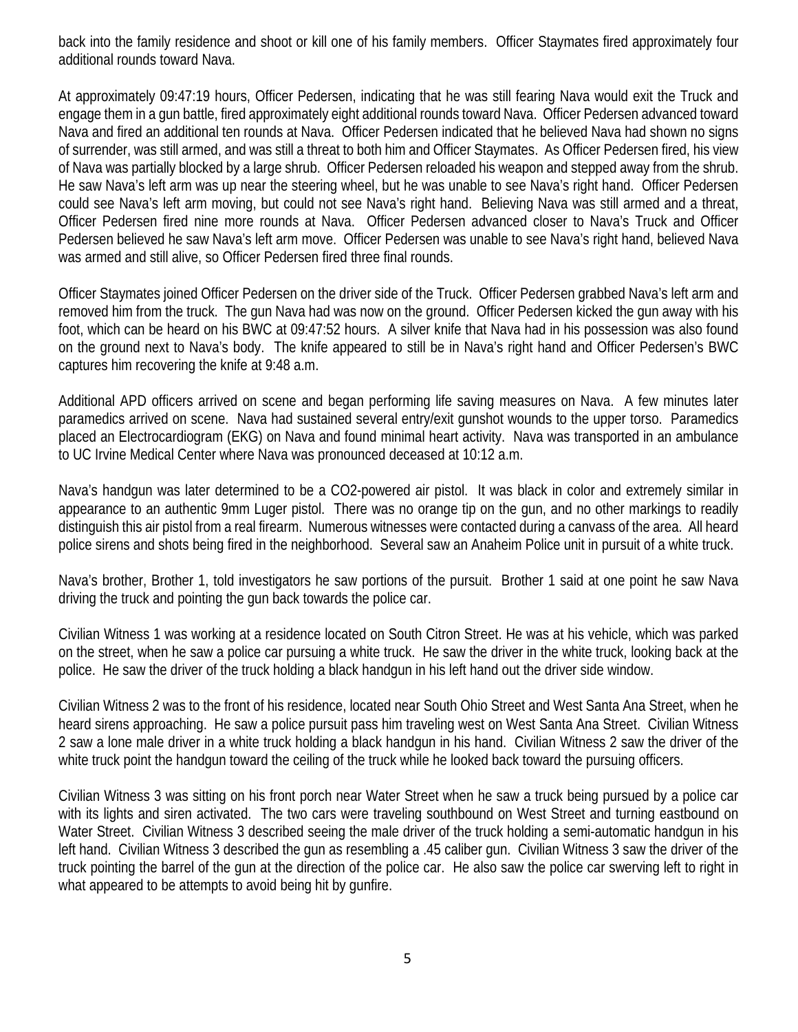back into the family residence and shoot or kill one of his family members. Officer Staymates fired approximately four additional rounds toward Nava.

At approximately 09:47:19 hours, Officer Pedersen, indicating that he was still fearing Nava would exit the Truck and engage them in a gun battle, fired approximately eight additional rounds toward Nava. Officer Pedersen advanced toward Nava and fired an additional ten rounds at Nava. Officer Pedersen indicated that he believed Nava had shown no signs of surrender, was still armed, and was still a threat to both him and Officer Staymates. As Officer Pedersen fired, his view of Nava was partially blocked by a large shrub. Officer Pedersen reloaded his weapon and stepped away from the shrub. He saw Nava's left arm was up near the steering wheel, but he was unable to see Nava's right hand. Officer Pedersen could see Nava's left arm moving, but could not see Nava's right hand. Believing Nava was still armed and a threat, Officer Pedersen fired nine more rounds at Nava. Officer Pedersen advanced closer to Nava's Truck and Officer Pedersen believed he saw Nava's left arm move. Officer Pedersen was unable to see Nava's right hand, believed Nava was armed and still alive, so Officer Pedersen fired three final rounds.

Officer Staymates joined Officer Pedersen on the driver side of the Truck. Officer Pedersen grabbed Nava's left arm and removed him from the truck. The gun Nava had was now on the ground. Officer Pedersen kicked the gun away with his foot, which can be heard on his BWC at 09:47:52 hours. A silver knife that Nava had in his possession was also found on the ground next to Nava's body. The knife appeared to still be in Nava's right hand and Officer Pedersen's BWC captures him recovering the knife at 9:48 a.m.

Additional APD officers arrived on scene and began performing life saving measures on Nava. A few minutes later paramedics arrived on scene. Nava had sustained several entry/exit gunshot wounds to the upper torso. Paramedics placed an Electrocardiogram (EKG) on Nava and found minimal heart activity. Nava was transported in an ambulance to UC Irvine Medical Center where Nava was pronounced deceased at 10:12 a.m.

Nava's handgun was later determined to be a CO2-powered air pistol. It was black in color and extremely similar in appearance to an authentic 9mm Luger pistol. There was no orange tip on the gun, and no other markings to readily distinguish this air pistol from a real firearm. Numerous witnesses were contacted during a canvass of the area. All heard police sirens and shots being fired in the neighborhood. Several saw an Anaheim Police unit in pursuit of a white truck.

Nava's brother, Brother 1, told investigators he saw portions of the pursuit. Brother 1 said at one point he saw Nava driving the truck and pointing the gun back towards the police car.

Civilian Witness 1 was working at a residence located on South Citron Street. He was at his vehicle, which was parked on the street, when he saw a police car pursuing a white truck. He saw the driver in the white truck, looking back at the police. He saw the driver of the truck holding a black handgun in his left hand out the driver side window.

Civilian Witness 2 was to the front of his residence, located near South Ohio Street and West Santa Ana Street, when he heard sirens approaching. He saw a police pursuit pass him traveling west on West Santa Ana Street. Civilian Witness 2 saw a lone male driver in a white truck holding a black handgun in his hand. Civilian Witness 2 saw the driver of the white truck point the handgun toward the ceiling of the truck while he looked back toward the pursuing officers.

Civilian Witness 3 was sitting on his front porch near Water Street when he saw a truck being pursued by a police car with its lights and siren activated. The two cars were traveling southbound on West Street and turning eastbound on Water Street. Civilian Witness 3 described seeing the male driver of the truck holding a semi-automatic handgun in his left hand. Civilian Witness 3 described the gun as resembling a .45 caliber gun. Civilian Witness 3 saw the driver of the truck pointing the barrel of the gun at the direction of the police car. He also saw the police car swerving left to right in what appeared to be attempts to avoid being hit by gunfire.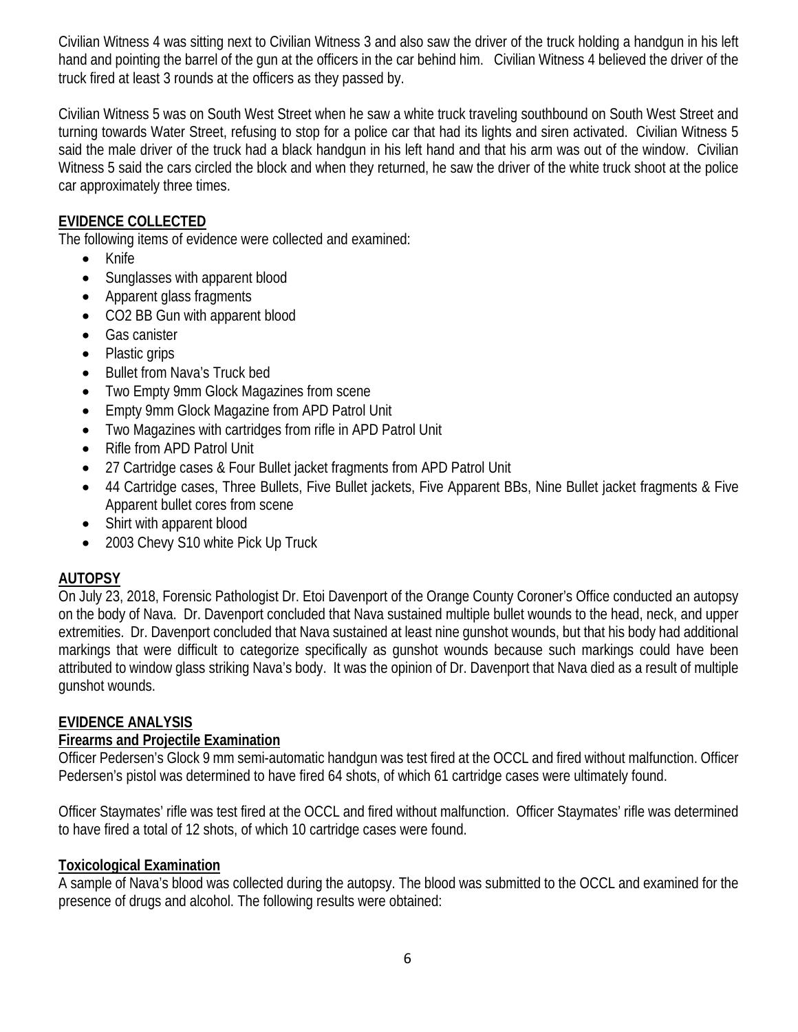Civilian Witness 4 was sitting next to Civilian Witness 3 and also saw the driver of the truck holding a handgun in his left hand and pointing the barrel of the gun at the officers in the car behind him. Civilian Witness 4 believed the driver of the truck fired at least 3 rounds at the officers as they passed by.

Civilian Witness 5 was on South West Street when he saw a white truck traveling southbound on South West Street and turning towards Water Street, refusing to stop for a police car that had its lights and siren activated. Civilian Witness 5 said the male driver of the truck had a black handgun in his left hand and that his arm was out of the window. Civilian Witness 5 said the cars circled the block and when they returned, he saw the driver of the white truck shoot at the police car approximately three times.

# **EVIDENCE COLLECTED**

The following items of evidence were collected and examined:

- Knife
- Sunglasses with apparent blood
- Apparent glass fragments
- CO2 BB Gun with apparent blood
- Gas canister
- Plastic grips
- Bullet from Nava's Truck bed
- Two Empty 9mm Glock Magazines from scene
- Empty 9mm Glock Magazine from APD Patrol Unit
- Two Magazines with cartridges from rifle in APD Patrol Unit
- Rifle from APD Patrol Unit
- 27 Cartridge cases & Four Bullet jacket fragments from APD Patrol Unit
- 44 Cartridge cases, Three Bullets, Five Bullet jackets, Five Apparent BBs, Nine Bullet jacket fragments & Five Apparent bullet cores from scene
- Shirt with apparent blood
- 2003 Chevy S10 white Pick Up Truck

# **AUTOPSY**

On July 23, 2018, Forensic Pathologist Dr. Etoi Davenport of the Orange County Coroner's Office conducted an autopsy on the body of Nava. Dr. Davenport concluded that Nava sustained multiple bullet wounds to the head, neck, and upper extremities. Dr. Davenport concluded that Nava sustained at least nine gunshot wounds, but that his body had additional markings that were difficult to categorize specifically as gunshot wounds because such markings could have been attributed to window glass striking Nava's body. It was the opinion of Dr. Davenport that Nava died as a result of multiple gunshot wounds.

# **EVIDENCE ANALYSIS**

# **Firearms and Projectile Examination**

Officer Pedersen's Glock 9 mm semi-automatic handgun was test fired at the OCCL and fired without malfunction. Officer Pedersen's pistol was determined to have fired 64 shots, of which 61 cartridge cases were ultimately found.

Officer Staymates' rifle was test fired at the OCCL and fired without malfunction. Officer Staymates' rifle was determined to have fired a total of 12 shots, of which 10 cartridge cases were found.

# **Toxicological Examination**

A sample of Nava's blood was collected during the autopsy. The blood was submitted to the OCCL and examined for the presence of drugs and alcohol. The following results were obtained: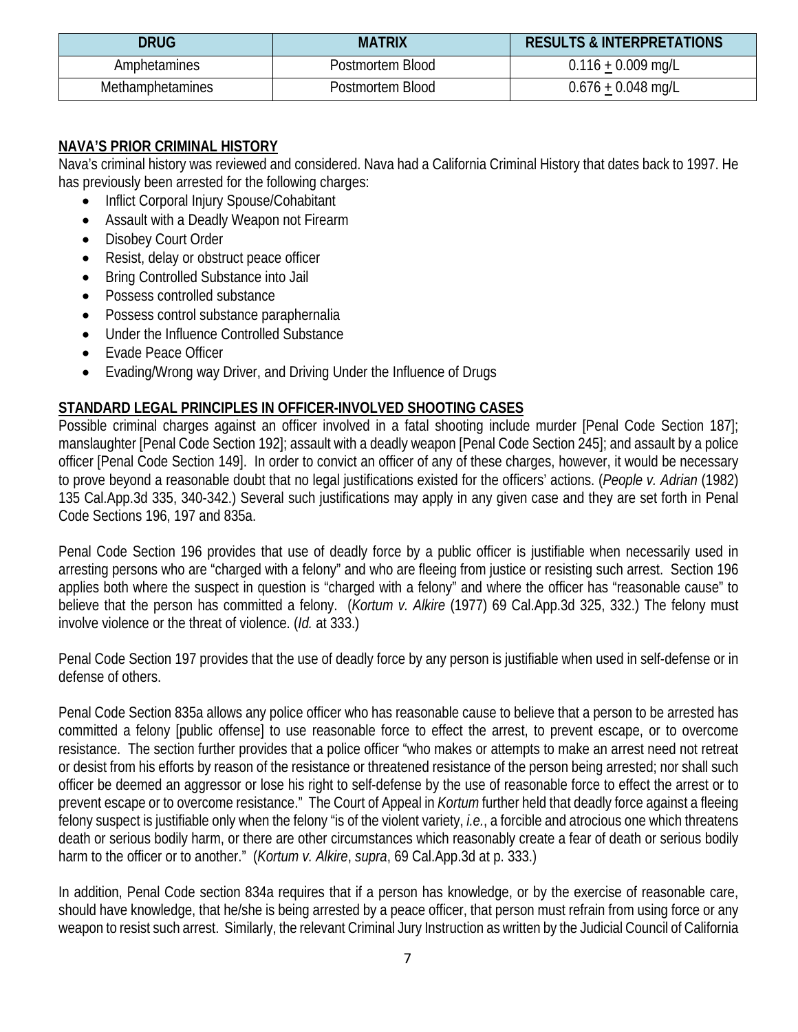| DRUG             | <b>MATRIX</b>    | <b>RESULTS &amp; INTERPRETATIONS</b> |
|------------------|------------------|--------------------------------------|
| Amphetamines     | Postmortem Blood | $0.116 + 0.009$ mg/L                 |
| Methamphetamines | Postmortem Blood | $0.676 + 0.048$ mg/L                 |

#### **NAVA'S PRIOR CRIMINAL HISTORY**

Nava's criminal history was reviewed and considered. Nava had a California Criminal History that dates back to 1997. He has previously been arrested for the following charges:

- Inflict Corporal Injury Spouse/Cohabitant
- Assault with a Deadly Weapon not Firearm
- Disobey Court Order
- Resist, delay or obstruct peace officer
- Bring Controlled Substance into Jail
- Possess controlled substance
- Possess control substance paraphernalia
- Under the Influence Controlled Substance
- Evade Peace Officer
- Evading/Wrong way Driver, and Driving Under the Influence of Drugs

#### **STANDARD LEGAL PRINCIPLES IN OFFICER-INVOLVED SHOOTING CASES**

Possible criminal charges against an officer involved in a fatal shooting include murder [Penal Code Section 187]; manslaughter [Penal Code Section 192]; assault with a deadly weapon [Penal Code Section 245]; and assault by a police officer [Penal Code Section 149]. In order to convict an officer of any of these charges, however, it would be necessary to prove beyond a reasonable doubt that no legal justifications existed for the officers' actions. (*People v. Adrian* (1982) 135 Cal.App.3d 335, 340-342.) Several such justifications may apply in any given case and they are set forth in Penal Code Sections 196, 197 and 835a.

Penal Code Section 196 provides that use of deadly force by a public officer is justifiable when necessarily used in arresting persons who are "charged with a felony" and who are fleeing from justice or resisting such arrest. Section 196 applies both where the suspect in question is "charged with a felony" and where the officer has "reasonable cause" to believe that the person has committed a felony. (*Kortum v. Alkire* (1977) 69 Cal.App.3d 325, 332.) The felony must involve violence or the threat of violence. (*Id.* at 333.)

Penal Code Section 197 provides that the use of deadly force by any person is justifiable when used in self-defense or in defense of others.

Penal Code Section 835a allows any police officer who has reasonable cause to believe that a person to be arrested has committed a felony [public offense] to use reasonable force to effect the arrest, to prevent escape, or to overcome resistance. The section further provides that a police officer "who makes or attempts to make an arrest need not retreat or desist from his efforts by reason of the resistance or threatened resistance of the person being arrested; nor shall such officer be deemed an aggressor or lose his right to self-defense by the use of reasonable force to effect the arrest or to prevent escape or to overcome resistance." The Court of Appeal in *Kortum* further held that deadly force against a fleeing felony suspect is justifiable only when the felony "is of the violent variety, *i.e.*, a forcible and atrocious one which threatens death or serious bodily harm, or there are other circumstances which reasonably create a fear of death or serious bodily harm to the officer or to another." (*Kortum v. Alkire*, *supra*, 69 Cal.App.3d at p. 333.)

In addition, Penal Code section 834a requires that if a person has knowledge, or by the exercise of reasonable care, should have knowledge, that he/she is being arrested by a peace officer, that person must refrain from using force or any weapon to resist such arrest. Similarly, the relevant Criminal Jury Instruction as written by the Judicial Council of California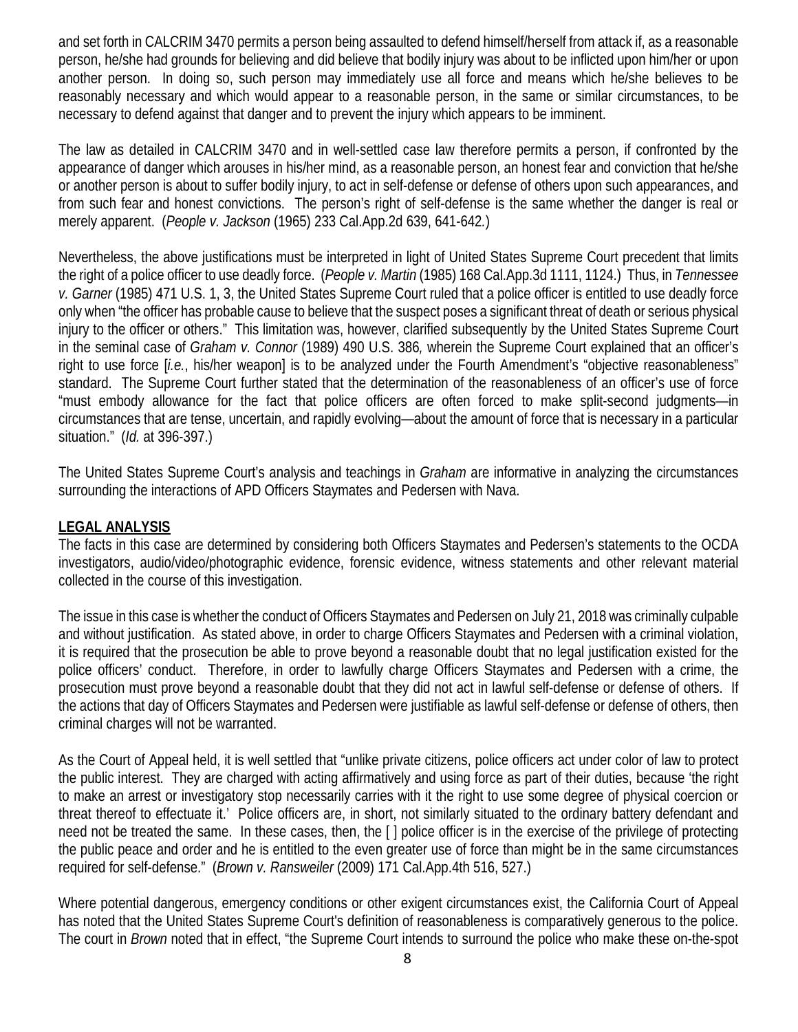and set forth in CALCRIM 3470 permits a person being assaulted to defend himself/herself from attack if, as a reasonable person, he/she had grounds for believing and did believe that bodily injury was about to be inflicted upon him/her or upon another person. In doing so, such person may immediately use all force and means which he/she believes to be reasonably necessary and which would appear to a reasonable person, in the same or similar circumstances, to be necessary to defend against that danger and to prevent the injury which appears to be imminent.

The law as detailed in CALCRIM 3470 and in well-settled case law therefore permits a person, if confronted by the appearance of danger which arouses in his/her mind, as a reasonable person, an honest fear and conviction that he/she or another person is about to suffer bodily injury, to act in self-defense or defense of others upon such appearances, and from such fear and honest convictions. The person's right of self-defense is the same whether the danger is real or merely apparent. (*People v. Jackson* (1965) 233 Cal.App.2d 639, 641-642*.*)

Nevertheless, the above justifications must be interpreted in light of United States Supreme Court precedent that limits the right of a police officer to use deadly force. (*People v. Martin* (1985) 168 Cal.App.3d 1111, 1124.) Thus, in *Tennessee v. Garner* (1985) 471 U.S. 1, 3, the United States Supreme Court ruled that a police officer is entitled to use deadly force only when "the officer has probable cause to believe that the suspect poses a significant threat of death or serious physical injury to the officer or others." This limitation was, however, clarified subsequently by the United States Supreme Court in the seminal case of *Graham v. Connor* (1989) 490 U.S. 386*,* wherein the Supreme Court explained that an officer's right to use force [*i.e.*, his/her weapon] is to be analyzed under the Fourth Amendment's "objective reasonableness" standard. The Supreme Court further stated that the determination of the reasonableness of an officer's use of force "must embody allowance for the fact that police officers are often forced to make split-second judgments—in circumstances that are tense, uncertain, and rapidly evolving—about the amount of force that is necessary in a particular situation." (*Id.* at 396-397.)

The United States Supreme Court's analysis and teachings in *Graham* are informative in analyzing the circumstances surrounding the interactions of APD Officers Staymates and Pedersen with Nava.

#### **LEGAL ANALYSIS**

The facts in this case are determined by considering both Officers Staymates and Pedersen's statements to the OCDA investigators, audio/video/photographic evidence, forensic evidence, witness statements and other relevant material collected in the course of this investigation.

The issue in this case is whether the conduct of Officers Staymates and Pedersen on July 21, 2018 was criminally culpable and without justification. As stated above, in order to charge Officers Staymates and Pedersen with a criminal violation, it is required that the prosecution be able to prove beyond a reasonable doubt that no legal justification existed for the police officers' conduct. Therefore, in order to lawfully charge Officers Staymates and Pedersen with a crime, the prosecution must prove beyond a reasonable doubt that they did not act in lawful self-defense or defense of others. If the actions that day of Officers Staymates and Pedersen were justifiable as lawful self-defense or defense of others, then criminal charges will not be warranted.

As the Court of Appeal held, it is well settled that "unlike private citizens, police officers act under color of law to protect the public interest. They are charged with acting affirmatively and using force as part of their duties, because 'the right to make an arrest or investigatory stop necessarily carries with it the right to use some degree of physical coercion or threat thereof to effectuate it.' Police officers are, in short, not similarly situated to the ordinary battery defendant and need not be treated the same. In these cases, then, the [ ] police officer is in the exercise of the privilege of protecting the public peace and order and he is entitled to the even greater use of force than might be in the same circumstances required for self-defense." (*Brown v. Ransweiler* (2009) 171 Cal.App.4th 516, 527.)

Where potential dangerous, emergency conditions or other exigent circumstances exist, the California Court of Appeal has noted that the United States Supreme Court's definition of reasonableness is comparatively generous to the police. The court in *Brown* noted that in effect, "the Supreme Court intends to surround the police who make these on-the-spot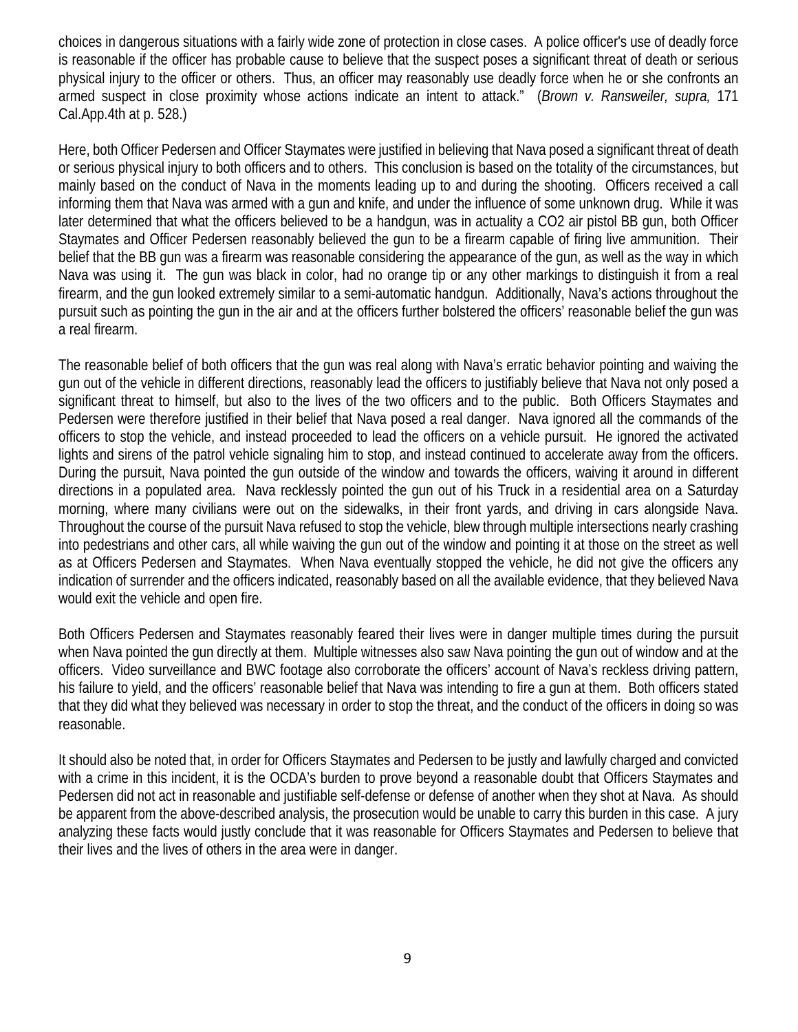choices in dangerous situations with a fairly wide zone of protection in close cases. A police officer's use of deadly force is reasonable if the officer has probable cause to believe that the suspect poses a significant threat of death or serious physical injury to the officer or others. Thus, an officer may reasonably use deadly force when he or she confronts an armed suspect in close proximity whose actions indicate an intent to attack." (*Brown v. Ransweiler, supra,* 171 Cal.App.4th at p. 528.)

Here, both Officer Pedersen and Officer Staymates were justified in believing that Nava posed a significant threat of death or serious physical injury to both officers and to others. This conclusion is based on the totality of the circumstances, but mainly based on the conduct of Nava in the moments leading up to and during the shooting. Officers received a call informing them that Nava was armed with a gun and knife, and under the influence of some unknown drug. While it was later determined that what the officers believed to be a handgun, was in actuality a CO2 air pistol BB gun, both Officer Staymates and Officer Pedersen reasonably believed the gun to be a firearm capable of firing live ammunition. Their belief that the BB gun was a firearm was reasonable considering the appearance of the gun, as well as the way in which Nava was using it. The gun was black in color, had no orange tip or any other markings to distinguish it from a real firearm, and the gun looked extremely similar to a semi-automatic handgun. Additionally, Nava's actions throughout the pursuit such as pointing the gun in the air and at the officers further bolstered the officers' reasonable belief the gun was a real firearm.

The reasonable belief of both officers that the gun was real along with Nava's erratic behavior pointing and waiving the gun out of the vehicle in different directions, reasonably lead the officers to justifiably believe that Nava not only posed a significant threat to himself, but also to the lives of the two officers and to the public. Both Officers Staymates and Pedersen were therefore justified in their belief that Nava posed a real danger. Nava ignored all the commands of the officers to stop the vehicle, and instead proceeded to lead the officers on a vehicle pursuit. He ignored the activated lights and sirens of the patrol vehicle signaling him to stop, and instead continued to accelerate away from the officers. During the pursuit, Nava pointed the gun outside of the window and towards the officers, waiving it around in different directions in a populated area. Nava recklessly pointed the gun out of his Truck in a residential area on a Saturday morning, where many civilians were out on the sidewalks, in their front yards, and driving in cars alongside Nava. Throughout the course of the pursuit Nava refused to stop the vehicle, blew through multiple intersections nearly crashing into pedestrians and other cars, all while waiving the gun out of the window and pointing it at those on the street as well as at Officers Pedersen and Staymates. When Nava eventually stopped the vehicle, he did not give the officers any indication of surrender and the officers indicated, reasonably based on all the available evidence, that they believed Nava would exit the vehicle and open fire.

Both Officers Pedersen and Staymates reasonably feared their lives were in danger multiple times during the pursuit when Nava pointed the gun directly at them. Multiple witnesses also saw Nava pointing the gun out of window and at the officers. Video surveillance and BWC footage also corroborate the officers' account of Nava's reckless driving pattern, his failure to yield, and the officers' reasonable belief that Nava was intending to fire a gun at them. Both officers stated that they did what they believed was necessary in order to stop the threat, and the conduct of the officers in doing so was reasonable.

It should also be noted that, in order for Officers Staymates and Pedersen to be justly and lawfully charged and convicted with a crime in this incident, it is the OCDA's burden to prove beyond a reasonable doubt that Officers Staymates and Pedersen did not act in reasonable and justifiable self-defense or defense of another when they shot at Nava. As should be apparent from the above-described analysis, the prosecution would be unable to carry this burden in this case. A jury analyzing these facts would justly conclude that it was reasonable for Officers Staymates and Pedersen to believe that their lives and the lives of others in the area were in danger.